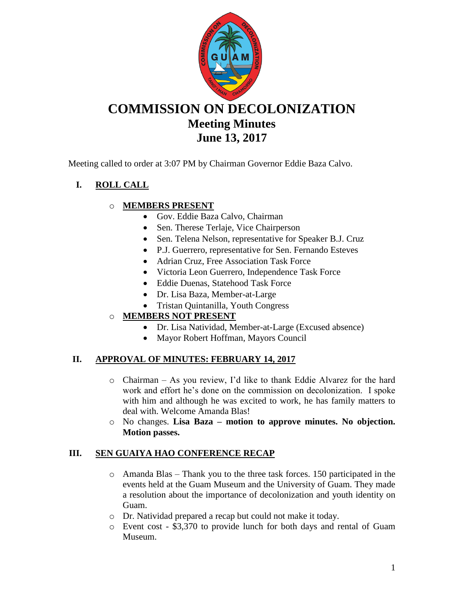

# **COMMISSION ON DECOLONIZATION Meeting Minutes June 13, 2017**

Meeting called to order at 3:07 PM by Chairman Governor Eddie Baza Calvo.

# **I. ROLL CALL**

## o **MEMBERS PRESENT**

- Gov. Eddie Baza Calvo, Chairman
- Sen. Therese Terlaje, Vice Chairperson
- Sen. Telena Nelson, representative for Speaker B.J. Cruz
- P.J. Guerrero, representative for Sen. Fernando Esteves
- Adrian Cruz, Free Association Task Force
- Victoria Leon Guerrero, Independence Task Force
- Eddie Duenas, Statehood Task Force
- Dr. Lisa Baza, Member-at-Large
- Tristan Quintanilla, Youth Congress

## o **MEMBERS NOT PRESENT**

- Dr. Lisa Natividad, Member-at-Large (Excused absence)
- Mayor Robert Hoffman, Mayors Council

## **II. APPROVAL OF MINUTES: FEBRUARY 14, 2017**

- o Chairman As you review, I'd like to thank Eddie Alvarez for the hard work and effort he's done on the commission on decolonization. I spoke with him and although he was excited to work, he has family matters to deal with. Welcome Amanda Blas!
- o No changes. **Lisa Baza – motion to approve minutes. No objection. Motion passes.**

## **III. SEN GUAIYA HAO CONFERENCE RECAP**

- $\circ$  Amanda Blas Thank you to the three task forces. 150 participated in the events held at the Guam Museum and the University of Guam. They made a resolution about the importance of decolonization and youth identity on Guam.
- o Dr. Natividad prepared a recap but could not make it today.
- o Event cost \$3,370 to provide lunch for both days and rental of Guam Museum.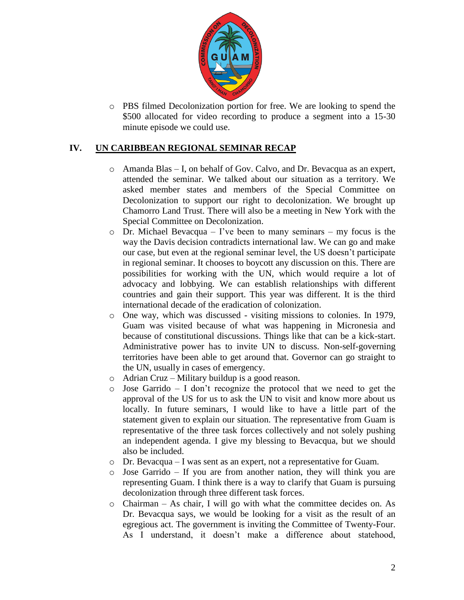

o PBS filmed Decolonization portion for free. We are looking to spend the \$500 allocated for video recording to produce a segment into a 15-30 minute episode we could use.

### **IV. UN CARIBBEAN REGIONAL SEMINAR RECAP**

- o Amanda Blas I, on behalf of Gov. Calvo, and Dr. Bevacqua as an expert, attended the seminar. We talked about our situation as a territory. We asked member states and members of the Special Committee on Decolonization to support our right to decolonization. We brought up Chamorro Land Trust. There will also be a meeting in New York with the Special Committee on Decolonization.
- $\circ$  Dr. Michael Bevacqua I've been to many seminars my focus is the way the Davis decision contradicts international law. We can go and make our case, but even at the regional seminar level, the US doesn't participate in regional seminar. It chooses to boycott any discussion on this. There are possibilities for working with the UN, which would require a lot of advocacy and lobbying. We can establish relationships with different countries and gain their support. This year was different. It is the third international decade of the eradication of colonization.
- o One way, which was discussed visiting missions to colonies. In 1979, Guam was visited because of what was happening in Micronesia and because of constitutional discussions. Things like that can be a kick-start. Administrative power has to invite UN to discuss. Non-self-governing territories have been able to get around that. Governor can go straight to the UN, usually in cases of emergency.
- o Adrian Cruz Military buildup is a good reason.
- o Jose Garrido I don't recognize the protocol that we need to get the approval of the US for us to ask the UN to visit and know more about us locally. In future seminars, I would like to have a little part of the statement given to explain our situation. The representative from Guam is representative of the three task forces collectively and not solely pushing an independent agenda. I give my blessing to Bevacqua, but we should also be included.
- o Dr. Bevacqua I was sent as an expert, not a representative for Guam.
- o Jose Garrido If you are from another nation, they will think you are representing Guam. I think there is a way to clarify that Guam is pursuing decolonization through three different task forces.
- o Chairman As chair, I will go with what the committee decides on. As Dr. Bevacqua says, we would be looking for a visit as the result of an egregious act. The government is inviting the Committee of Twenty-Four. As I understand, it doesn't make a difference about statehood,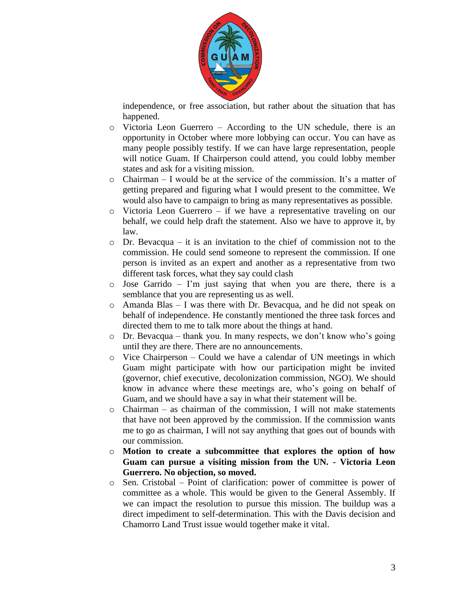

independence, or free association, but rather about the situation that has happened.

- o Victoria Leon Guerrero According to the UN schedule, there is an opportunity in October where more lobbying can occur. You can have as many people possibly testify. If we can have large representation, people will notice Guam. If Chairperson could attend, you could lobby member states and ask for a visiting mission.
- o Chairman I would be at the service of the commission. It's a matter of getting prepared and figuring what I would present to the committee. We would also have to campaign to bring as many representatives as possible.
- $\circ$  Victoria Leon Guerrero if we have a representative traveling on our behalf, we could help draft the statement. Also we have to approve it, by law.
- $\circ$  Dr. Bevacqua it is an invitation to the chief of commission not to the commission. He could send someone to represent the commission. If one person is invited as an expert and another as a representative from two different task forces, what they say could clash
- o Jose Garrido I'm just saying that when you are there, there is a semblance that you are representing us as well.
- o Amanda Blas I was there with Dr. Bevacqua, and he did not speak on behalf of independence. He constantly mentioned the three task forces and directed them to me to talk more about the things at hand.
- o Dr. Bevacqua thank you. In many respects, we don't know who's going until they are there. There are no announcements.
- o Vice Chairperson Could we have a calendar of UN meetings in which Guam might participate with how our participation might be invited (governor, chief executive, decolonization commission, NGO). We should know in advance where these meetings are, who's going on behalf of Guam, and we should have a say in what their statement will be.
- $\circ$  Chairman as chairman of the commission, I will not make statements that have not been approved by the commission. If the commission wants me to go as chairman, I will not say anything that goes out of bounds with our commission.
- o **Motion to create a subcommittee that explores the option of how Guam can pursue a visiting mission from the UN. - Victoria Leon Guerrero. No objection, so moved.**
- o Sen. Cristobal Point of clarification: power of committee is power of committee as a whole. This would be given to the General Assembly. If we can impact the resolution to pursue this mission. The buildup was a direct impediment to self-determination. This with the Davis decision and Chamorro Land Trust issue would together make it vital.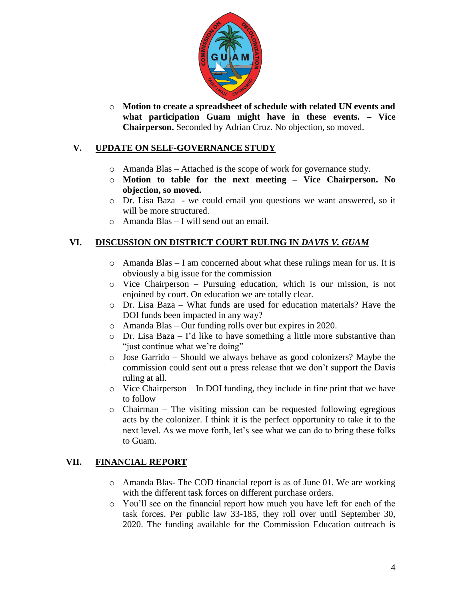

o **Motion to create a spreadsheet of schedule with related UN events and what participation Guam might have in these events. – Vice Chairperson.** Seconded by Adrian Cruz. No objection, so moved.

## **V. UPDATE ON SELF-GOVERNANCE STUDY**

- o Amanda Blas Attached is the scope of work for governance study.
- o **Motion to table for the next meeting – Vice Chairperson. No objection, so moved.**
- o Dr. Lisa Baza we could email you questions we want answered, so it will be more structured.
- o Amanda Blas I will send out an email.

#### **VI. DISCUSSION ON DISTRICT COURT RULING IN** *DAVIS V. GUAM*

- $\circ$  Amanda Blas I am concerned about what these rulings mean for us. It is obviously a big issue for the commission
- o Vice Chairperson Pursuing education, which is our mission, is not enjoined by court. On education we are totally clear.
- o Dr. Lisa Baza What funds are used for education materials? Have the DOI funds been impacted in any way?
- o Amanda Blas Our funding rolls over but expires in 2020.
- $\circ$  Dr. Lisa Baza I'd like to have something a little more substantive than "just continue what we're doing"
- o Jose Garrido Should we always behave as good colonizers? Maybe the commission could sent out a press release that we don't support the Davis ruling at all.
- o Vice Chairperson In DOI funding, they include in fine print that we have to follow
- $\circ$  Chairman The visiting mission can be requested following egregious acts by the colonizer. I think it is the perfect opportunity to take it to the next level. As we move forth, let's see what we can do to bring these folks to Guam.

### **VII. FINANCIAL REPORT**

- o Amanda Blas- The COD financial report is as of June 01. We are working with the different task forces on different purchase orders.
- o You'll see on the financial report how much you have left for each of the task forces. Per public law 33-185, they roll over until September 30, 2020. The funding available for the Commission Education outreach is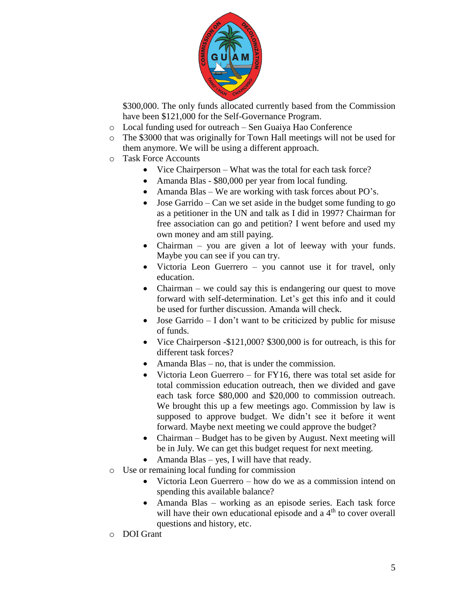

\$300,000. The only funds allocated currently based from the Commission have been \$121,000 for the Self-Governance Program.

- o Local funding used for outreach Sen Guaiya Hao Conference
- o The \$3000 that was originally for Town Hall meetings will not be used for them anymore. We will be using a different approach.
- o Task Force Accounts
	- Vice Chairperson What was the total for each task force?
	- Amanda Blas \$80,000 per year from local funding.
	- Amanda Blas We are working with task forces about PO's.
	- Jose Garrido Can we set aside in the budget some funding to go as a petitioner in the UN and talk as I did in 1997? Chairman for free association can go and petition? I went before and used my own money and am still paying.
	- Chairman you are given a lot of leeway with your funds. Maybe you can see if you can try.
	- Victoria Leon Guerrero you cannot use it for travel, only education.
	- Chairman we could say this is endangering our quest to move forward with self-determination. Let's get this info and it could be used for further discussion. Amanda will check.
	- $\bullet$  Jose Garrido I don't want to be criticized by public for misuse of funds.
	- Vice Chairperson -\$121,000? \$300,000 is for outreach, is this for different task forces?
	- Amanda Blas no, that is under the commission.
	- Victoria Leon Guerrero for FY16, there was total set aside for total commission education outreach, then we divided and gave each task force \$80,000 and \$20,000 to commission outreach. We brought this up a few meetings ago. Commission by law is supposed to approve budget. We didn't see it before it went forward. Maybe next meeting we could approve the budget?
	- Chairman Budget has to be given by August. Next meeting will be in July. We can get this budget request for next meeting.
	- Amanda Blas yes, I will have that ready.
- o Use or remaining local funding for commission
	- Victoria Leon Guerrero how do we as a commission intend on spending this available balance?
	- Amanda Blas working as an episode series. Each task force will have their own educational episode and a  $4<sup>th</sup>$  to cover overall questions and history, etc.
- o DOI Grant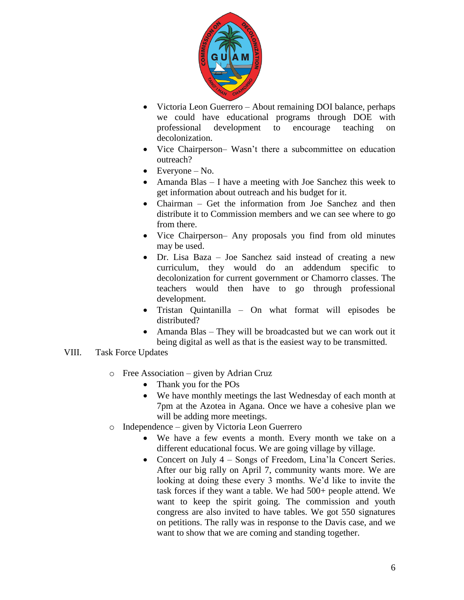

- Victoria Leon Guerrero About remaining DOI balance, perhaps we could have educational programs through DOE with professional development to encourage teaching on decolonization.
- Vice Chairperson– Wasn't there a subcommittee on education outreach?
- $\bullet$  Everyone No.
- Amanda Blas I have a meeting with Joe Sanchez this week to get information about outreach and his budget for it.
- Chairman Get the information from Joe Sanchez and then distribute it to Commission members and we can see where to go from there.
- Vice Chairperson– Any proposals you find from old minutes may be used.
- Dr. Lisa Baza Joe Sanchez said instead of creating a new curriculum, they would do an addendum specific to decolonization for current government or Chamorro classes. The teachers would then have to go through professional development.
- Tristan Quintanilla On what format will episodes be distributed?
- Amanda Blas They will be broadcasted but we can work out it being digital as well as that is the easiest way to be transmitted.

#### VIII. Task Force Updates

- o Free Association given by Adrian Cruz
	- Thank you for the POs
	- We have monthly meetings the last Wednesday of each month at 7pm at the Azotea in Agana. Once we have a cohesive plan we will be adding more meetings.
- o Independence given by Victoria Leon Guerrero
	- We have a few events a month. Every month we take on a different educational focus. We are going village by village.
	- Concert on July 4 Songs of Freedom, Lina'la Concert Series. After our big rally on April 7, community wants more. We are looking at doing these every 3 months. We'd like to invite the task forces if they want a table. We had 500+ people attend. We want to keep the spirit going. The commission and youth congress are also invited to have tables. We got 550 signatures on petitions. The rally was in response to the Davis case, and we want to show that we are coming and standing together.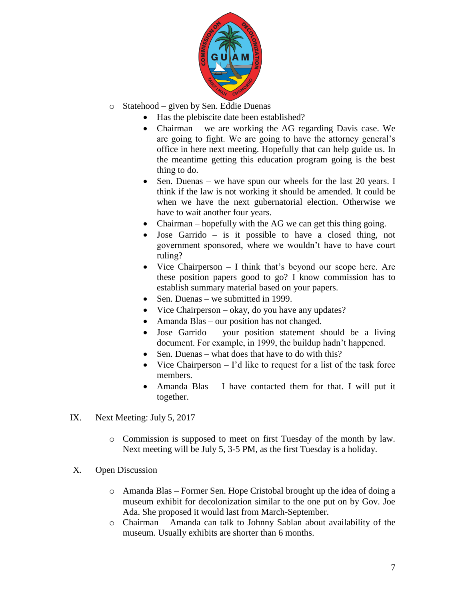

- o Statehood given by Sen. Eddie Duenas
	- Has the plebiscite date been established?
	- Chairman we are working the AG regarding Davis case. We are going to fight. We are going to have the attorney general's office in here next meeting. Hopefully that can help guide us. In the meantime getting this education program going is the best thing to do.
	- Sen. Duenas we have spun our wheels for the last 20 years. I think if the law is not working it should be amended. It could be when we have the next gubernatorial election. Otherwise we have to wait another four years.
	- Chairman hopefully with the AG we can get this thing going.
	- Jose Garrido is it possible to have a closed thing, not government sponsored, where we wouldn't have to have court ruling?
	- Vice Chairperson  $-$  I think that's beyond our scope here. Are these position papers good to go? I know commission has to establish summary material based on your papers.
	- Sen. Duenas we submitted in 1999.
	- Vice Chairperson okay, do you have any updates?
	- Amanda Blas our position has not changed.
	- Jose Garrido your position statement should be a living document. For example, in 1999, the buildup hadn't happened.
	- Sen. Duenas what does that have to do with this?
	- Vice Chairperson  $-$  I'd like to request for a list of the task force members.
	- Amanda Blas I have contacted them for that. I will put it together.
- IX. Next Meeting: July 5, 2017
	- o Commission is supposed to meet on first Tuesday of the month by law. Next meeting will be July 5, 3-5 PM, as the first Tuesday is a holiday.
- X. Open Discussion
	- o Amanda Blas Former Sen. Hope Cristobal brought up the idea of doing a museum exhibit for decolonization similar to the one put on by Gov. Joe Ada. She proposed it would last from March-September.
	- o Chairman Amanda can talk to Johnny Sablan about availability of the museum. Usually exhibits are shorter than 6 months.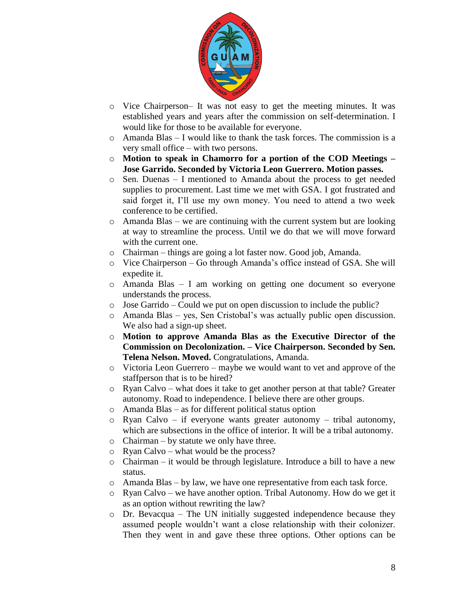

- o Vice Chairperson– It was not easy to get the meeting minutes. It was established years and years after the commission on self-determination. I would like for those to be available for everyone.
- o Amanda Blas I would like to thank the task forces. The commission is a very small office – with two persons.
- o **Motion to speak in Chamorro for a portion of the COD Meetings – Jose Garrido. Seconded by Victoria Leon Guerrero. Motion passes.**
- o Sen. Duenas I mentioned to Amanda about the process to get needed supplies to procurement. Last time we met with GSA. I got frustrated and said forget it, I'll use my own money. You need to attend a two week conference to be certified.
- o Amanda Blas we are continuing with the current system but are looking at way to streamline the process. Until we do that we will move forward with the current one.
- o Chairman things are going a lot faster now. Good job, Amanda.
- o Vice Chairperson Go through Amanda's office instead of GSA. She will expedite it.
- o Amanda Blas I am working on getting one document so everyone understands the process.
- o Jose Garrido Could we put on open discussion to include the public?
- o Amanda Blas yes, Sen Cristobal's was actually public open discussion. We also had a sign-up sheet.
- o **Motion to approve Amanda Blas as the Executive Director of the Commission on Decolonization. – Vice Chairperson. Seconded by Sen. Telena Nelson. Moved.** Congratulations, Amanda.
- o Victoria Leon Guerrero maybe we would want to vet and approve of the staffperson that is to be hired?
- o Ryan Calvo what does it take to get another person at that table? Greater autonomy. Road to independence. I believe there are other groups.
- o Amanda Blas as for different political status option
- $\circ$  Ryan Calvo if everyone wants greater autonomy tribal autonomy, which are subsections in the office of interior. It will be a tribal autonomy.
- o Chairman by statute we only have three.
- o Ryan Calvo what would be the process?
- o Chairman it would be through legislature. Introduce a bill to have a new status.
- o Amanda Blas by law, we have one representative from each task force.
- o Ryan Calvo we have another option. Tribal Autonomy. How do we get it as an option without rewriting the law?
- $\circ$  Dr. Bevacqua The UN initially suggested independence because they assumed people wouldn't want a close relationship with their colonizer. Then they went in and gave these three options. Other options can be